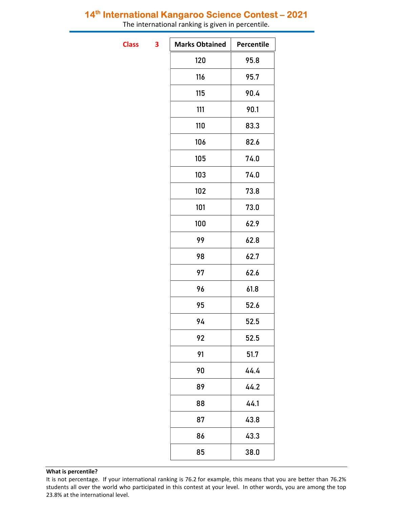## 14<sup>th</sup> International Kangaroo Science Contest - 2021

The international ranking is given in percentile.

**Class** 

| 3 | <b>Marks Obtained</b> | Percentile |
|---|-----------------------|------------|
|   | 120                   | 95.8       |
|   | 116                   | 95.7       |
|   | 115                   | 90.4       |
|   | 111                   | 90.1       |
|   | 110                   | 83.3       |
|   | 106                   | 82.6       |
|   | 105                   | 74.0       |
|   | 103                   | 74.0       |
|   | 102                   | 73.8       |
|   | 101                   | 73.0       |
|   | 100                   | 62.9       |
|   | 99                    | 62.8       |
|   | 98                    | 62.7       |
|   | 97                    | 62.6       |
|   | 96                    | 61.8       |
|   | 95                    | 52.6       |
|   | 94                    | 52.5       |
|   | 92                    | 52.5       |
|   | 91                    | 51.7       |
|   | 90                    | 44.4       |
|   | 89                    | 44.2       |
|   | 88                    | 44.1       |
|   | 87                    | 43.8       |
|   | 86                    | 43.3       |
|   | 85                    | 38.0       |
|   |                       |            |

## What is percentile?

It is not percentage. If your international ranking is 76.2 for example, this means that you are better than 76.2% students all over the world who participated in this contest at your level. In other words, you are among the top 23.8% at the international level.